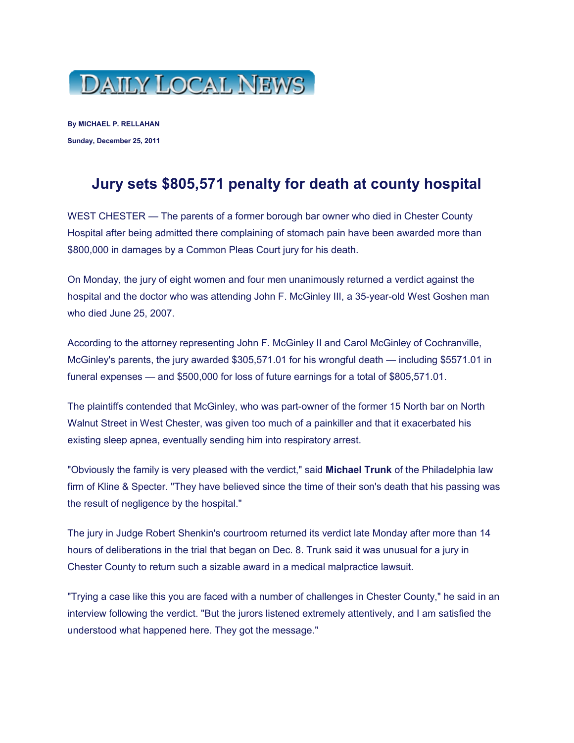

**By MICHAEL P. RELLAHAN Sunday, December 25, 2011**

## **Jury sets \$805,571 penalty for death at county hospital**

WEST CHESTER — The parents of a former borough bar owner who died in Chester County Hospital after being admitted there complaining of stomach pain have been awarded more than \$800,000 in damages by a Common Pleas Court jury for his death.

On Monday, the jury of eight women and four men unanimously returned a verdict against the hospital and the doctor who was attending John F. McGinley III, a 35-year-old West Goshen man who died June 25, 2007.

According to the attorney representing John F. McGinley II and Carol McGinley of Cochranville, McGinley's parents, the jury awarded \$305,571.01 for his wrongful death — including \$5571.01 in funeral expenses — and \$500,000 for loss of future earnings for a total of \$805,571.01.

The plaintiffs contended that McGinley, who was part-owner of the former 15 North bar on North Walnut Street in West Chester, was given too much of a painkiller and that it exacerbated his existing sleep apnea, eventually sending him into respiratory arrest.

"Obviously the family is very pleased with the verdict," said **Michael Trunk** of the Philadelphia law firm of Kline & Specter. "They have believed since the time of their son's death that his passing was the result of negligence by the hospital."

The jury in Judge Robert Shenkin's courtroom returned its verdict late Monday after more than 14 hours of deliberations in the trial that began on Dec. 8. Trunk said it was unusual for a jury in Chester County to return such a sizable award in a medical malpractice lawsuit.

"Trying a case like this you are faced with a number of challenges in Chester County," he said in an interview following the verdict. "But the jurors listened extremely attentively, and I am satisfied the understood what happened here. They got the message."